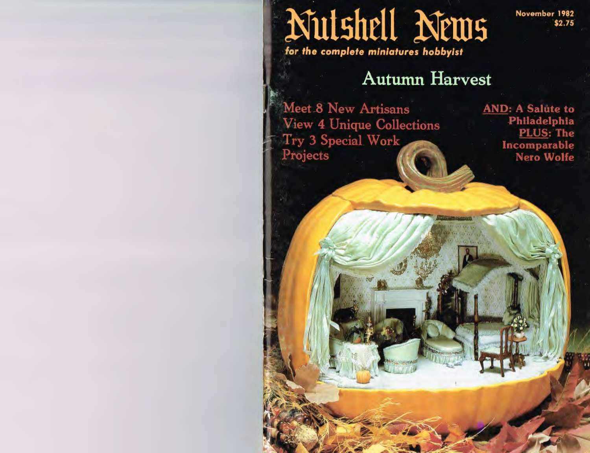## Nutshell News for the complete miniatures hobbyist

November 1982 \$2.75

**Autumn Harvest** 

Meet 8 New Artisans **View 4 Unique Collections Try 3 Special Work** Projects

**AND: A Salute to** Philadelphia **PLUS: The** Incomparable **Nero Wolfe**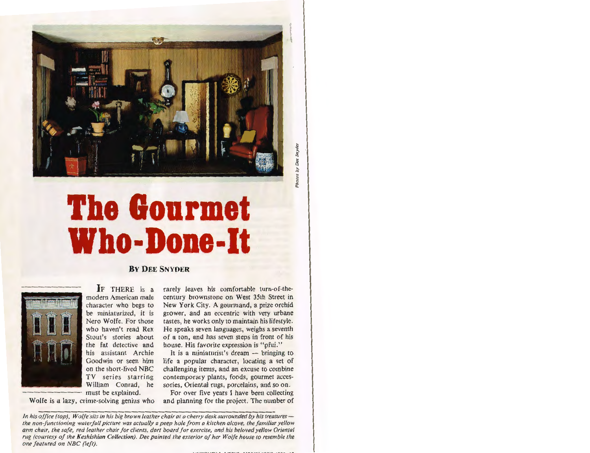

## **The Gourmet Who-Done-It**





IF THERE is a modern American male character who begs to be miniaturized, it is Nero Wolfe. For those who haven't read Rex Stout's stories about the fat detective and his assistant Archie Goodwin or seen him on the short-lived NBC TV series starring William Conrad, he must be explained.

Wolfe is a lazy, crime-solving genius who

rarely leaves his comfortable turn-of-thecentury brownstone on West 35th Street in New York City. A gourmand, a prize orchid grower, and an eccentric with very urbane tastes, he works only to maintain his lifestyle. He speaks seven languages, weighs a seventh of a ton, and has seven steps in front of his house. His favorite expression is "pfui."

It is a miniaturist's dream  $-$  bringing to life a popular character, locating a set of challenging items, and an excuse to combine contemporary plants, foods, gourmet accessories, Oriental rugs, porcelains, and so on.

For over five years I have been collecting and planning for the project. The number of

*In his ojfice (top), Wolfe sits in his big brown leather chair at a cherry desk surrounded by his treasuresthe non-functioning waterfall picture was actually a peep hole from a kitchen alcove, the familiar yellow arm chair, the safe, red leather chair for clients, dart board for exercise, and his beloved yellow Oriental rug (courtesy of the Keshishian Collection). Dee painted the exterior of her Wolfe house to resemble the one featured on NBC (left).*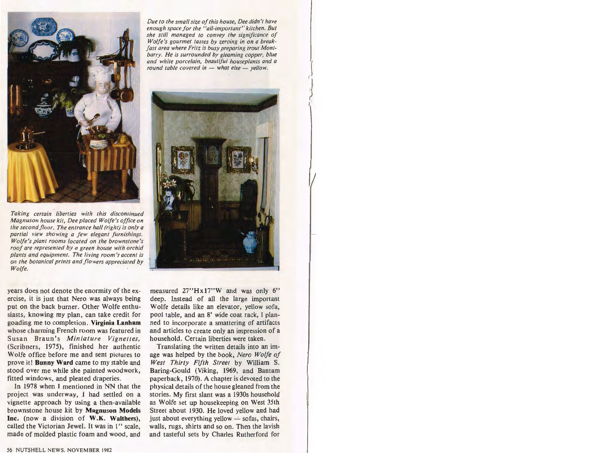

*Taking certain liberties with this discontinued Magnuson house kit, Dee placed Wolfe's office on the second floor. The entrance hall (right) is only a partial view showing a few elegant furnishings. Wolfe's plant rooms located on the brownstone's roof are represented by a green house with orchid plants and equipment. The living room 's accent is on the botanical prints and f lowers appreciated by Wolfe.* 

years does not denote the enormity of the exercise, it is just that Nero was always being put on the back burner. Other Wolfe enthusiasts, knowing my plan, can take credit for goading me to completion . **Virginia Lanham**  whose charming French room was featured in Susan Braun's *Miniature Vignettes*, (Scribners, 1975), finished her authentic Wolfe office before me and sent pictures to prove it! **Bunny Ward** came to my stable and stood over me while she painted woodwork, fitted windows, and pleated draperies.

In 1978 when I mentioned in NN that the project was underway, I had settled on a vignette approach by using a then-available brownstone house kit by **Magnuson Models Inc.** (now a division of **W.K. Walthers),**  called the Victorian Jewel. It was in I" scale, made of molded plastic foam and wood, and

*Due to the small size of this house, Dee didn't have enough space for the "all-important " kitchen. But she still managed to convey the significance of Wolfe's gourrnet tastes by zeroing in on a break· fast area where Fritz is busy preparing trout Montbarry. He is surrounded by gleaming copper, blue and white porcelain, beautiful houseplants and a round table covered in - what else - yellow.* 



measured 27"Hx17"W and was only 6" deep. Instead of all the large important Wolfe details like an elevator, yellow sofa, pool table, and an 8' wide coat rack, I planned to incorporate a smattering of artifacts and articles to create only an impression of a household. Certain liberties were taken.

Translating the written details into an image was helped by the book, *Nero Wolfe of West Thirty Fifth Street* by William S. Baring-Gould (Viking, 1969, and Bantam paperback, 1970). A chapter is devoted to the physical details of the house gleaned from the stories. My first slant was a 1930s household as Wolfe set up housekeeping on West 35th Street about 1930. He loved yellow and had just about everything yellow  $\div$  sofas, chairs, walls, rugs, shirts and so on. Then the lavish and tasteful sets by Charles Rutherford for